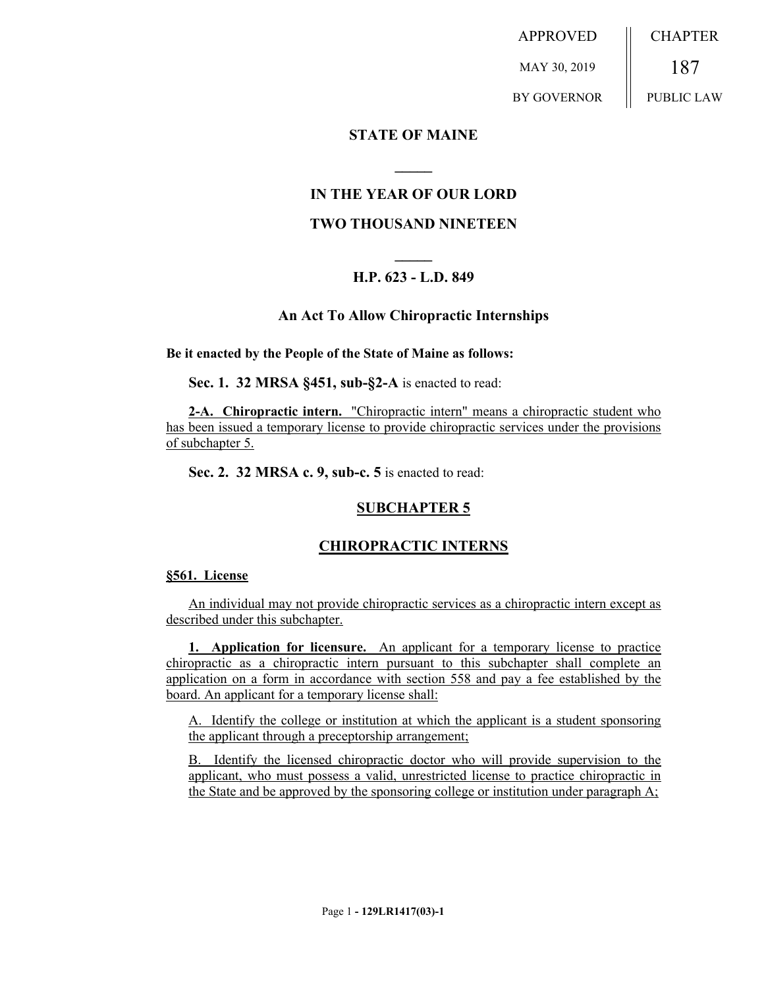APPROVED MAY 30, 2019 BY GOVERNOR CHAPTER 187 PUBLIC LAW

#### **STATE OF MAINE**

# **IN THE YEAR OF OUR LORD**

**\_\_\_\_\_**

#### **TWO THOUSAND NINETEEN**

# **\_\_\_\_\_ H.P. 623 - L.D. 849**

#### **An Act To Allow Chiropractic Internships**

#### **Be it enacted by the People of the State of Maine as follows:**

**Sec. 1. 32 MRSA §451, sub-§2-A** is enacted to read:

**2-A. Chiropractic intern.** "Chiropractic intern" means a chiropractic student who has been issued a temporary license to provide chiropractic services under the provisions of subchapter 5.

**Sec. 2. 32 MRSA c. 9, sub-c. 5** is enacted to read:

# **SUBCHAPTER 5**

#### **CHIROPRACTIC INTERNS**

#### **§561. License**

An individual may not provide chiropractic services as a chiropractic intern except as described under this subchapter.

**1. Application for licensure.** An applicant for a temporary license to practice chiropractic as a chiropractic intern pursuant to this subchapter shall complete an application on a form in accordance with section 558 and pay a fee established by the board. An applicant for a temporary license shall:

A. Identify the college or institution at which the applicant is a student sponsoring the applicant through a preceptorship arrangement;

B. Identify the licensed chiropractic doctor who will provide supervision to the applicant, who must possess a valid, unrestricted license to practice chiropractic in the State and be approved by the sponsoring college or institution under paragraph A;